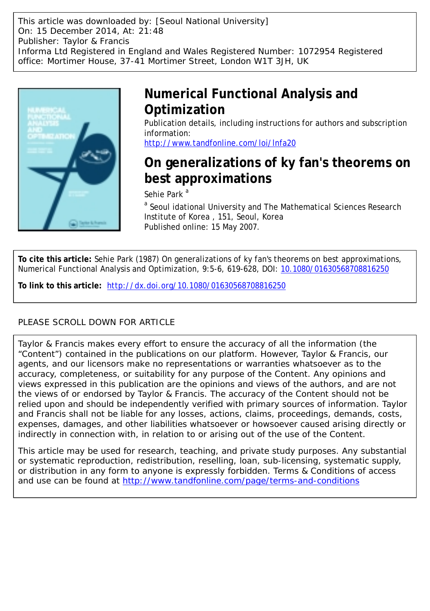This article was downloaded by: [Seoul National University] On: 15 December 2014, At: 21:48 Publisher: Taylor & Francis Informa Ltd Registered in England and Wales Registered Number: 1072954 Registered office: Mortimer House, 37-41 Mortimer Street, London W1T 3JH, UK



## **Numerical Functional Analysis and Optimization**

Publication details, including instructions for authors and subscription information:

<http://www.tandfonline.com/loi/lnfa20>

# **On generalizations of ky fan's theorems on best approximations**

Sehie Park<sup>a</sup>

<sup>a</sup> Seoul idational University and The Mathematical Sciences Research Institute of Korea , 151, Seoul, Korea Published online: 15 May 2007.

**To cite this article:** Sehie Park (1987) On generalizations of ky fan's theorems on best approximations, Numerical Functional Analysis and Optimization, 9:5-6, 619-628, DOI: [10.1080/01630568708816250](http://www.tandfonline.com/action/showCitFormats?doi=10.1080/01630568708816250)

**To link to this article:** <http://dx.doi.org/10.1080/01630568708816250>

### PLEASE SCROLL DOWN FOR ARTICLE

Taylor & Francis makes every effort to ensure the accuracy of all the information (the "Content") contained in the publications on our platform. However, Taylor & Francis, our agents, and our licensors make no representations or warranties whatsoever as to the accuracy, completeness, or suitability for any purpose of the Content. Any opinions and views expressed in this publication are the opinions and views of the authors, and are not the views of or endorsed by Taylor & Francis. The accuracy of the Content should not be relied upon and should be independently verified with primary sources of information. Taylor and Francis shall not be liable for any losses, actions, claims, proceedings, demands, costs, expenses, damages, and other liabilities whatsoever or howsoever caused arising directly or indirectly in connection with, in relation to or arising out of the use of the Content.

This article may be used for research, teaching, and private study purposes. Any substantial or systematic reproduction, redistribution, reselling, loan, sub-licensing, systematic supply, or distribution in any form to anyone is expressly forbidden. Terms & Conditions of access and use can be found at <http://www.tandfonline.com/page/terms-and-conditions>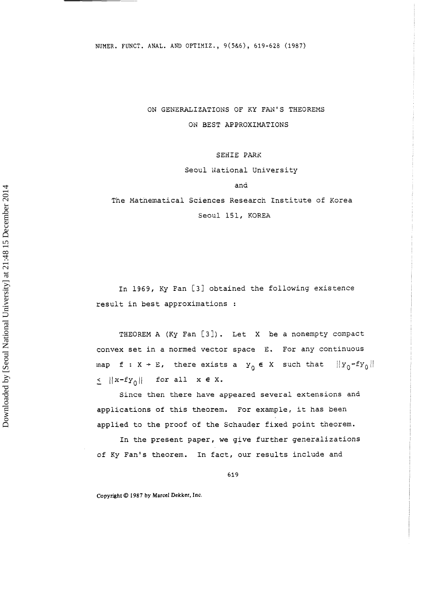ON GENERALIZATIONS OF KY FAN'S THEOREMS ON BEST APPROXIMATIONS

SEHIE PARK

Seoul idational University

and

The Mathematical Sciences Research Institute of Korea Seoul 151, KOREA

In 1969, Ky Fan [31 obtained the following existence result in best approximations :

THEOREM A (Ky Fan [3]). Let X be a nonempty compact convex set in a normed vector space E. For any continuous map  $f : X \rightarrow E$ , there exists a  $y_0 \in X$  such that  $||y_0 - fy_0||$  $\leq$   $||x-fy_0||$  for all  $x \in X$ .

Since then there have appeared several extensions and applications of this theorem. For example, it has been applied to the proof of the Schauder fixed point theorem.

In the present paper, we give further generalizations of Ky Fan's theorem. In fact, our results include and

619

**Copyright** @ **1987 by Marcel Dekker, Inc.**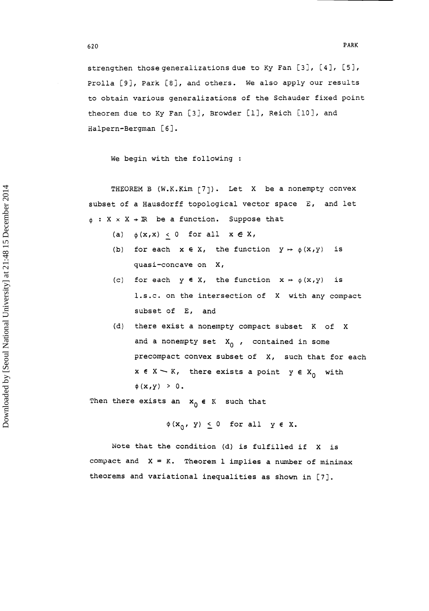strengthen thosegeneralizations due to Ky Fan [31, [4], [S], Prolla [9], Park [8], and others. We also apply our results to obtain various generalizations of the Schauder fixed point theorem due to Ky Fan [3], Browder [1], Reich [10], and Halpern-Bergman [61.

We begin with the following :

620

THEOREM B (W.K. Kim [7]). Let X be a nonempty convex subset of a Hausdorff topological vector space E, and let  $\phi$  : X  $\times$  X + IR be a function. Suppose that

- (a)  $\phi(x,x) < 0$  for all  $x \in X$ ,
- (b) for each  $x \in X$ , the function  $y \mapsto \phi(x,y)$  is quasi-concave on X,
- (c) for each  $y \in X$ , the function  $x \mapsto \phi(x,y)$  is 1.s.c. on the intersection of X with any compact subset of E, and
- (d) there exist a nonempty compact subset K of X and a nonempty set  $X_0$ , contained in some precompact convex subset of X, such that for each precompact convex subset of X, such that for<br>x **e** X  $\sim$  K, there exists a point y **e** X<sub>O</sub> with x e X - K,<br>\$(x,y) > 0.

Then there exists an  $x_0 \in K$  such that

 $\phi(x_0, y) \leq 0$  for all  $y \in X$ .

Note that the condition (d) is fulfilled if X is compact and  $X = K$ . Theorem 1 implies a number of minimax theorems and variational inequalities as shown in [7].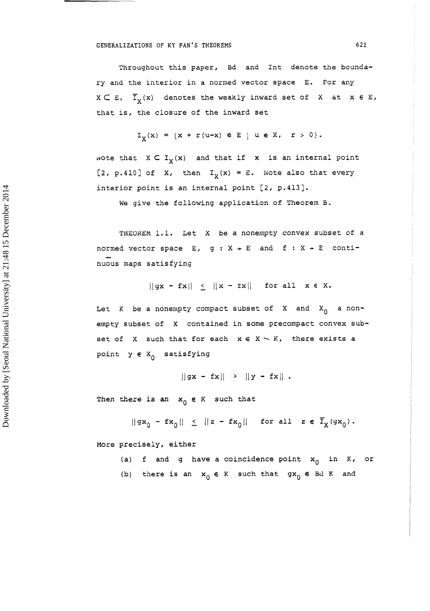#### **GENERALIZATIONS OF KY FAN'S THEOREMS 621**

Throughout this paper, Bd and Int denote the boundary and the interior in a norned vector space E. For any  $X \subset E$ ,  $\overline{T}_X(X)$  denotes the weakly inward set of X at  $X \in E$ , that is, the closure of the inward set

$$
I_X(x) = \{x + r(u-x) \in E \mid u \in X, r > 0\}.
$$

wote that  $X \subset I_X(x)$  and that if x is an internal point [2, p.410] of X, then  $I_Y(x) = E$ . Note also that every interior point is an internal point [2, p.413].

We give the following application of Theorem B.

THEOREM 1.1. Let X be a nonempty convex subset of a normed vector space  $E$ ,  $g : X + E$  and  $f : X + E$  continuous maps satisfying

 $||gx - fx|| \le ||x - fx||$  for all  $x \in X$ .

Let K be a nonempty compact subset of X and  $X_0$  a nonempty subset of X contained in some precompact convex subset of  $X$  such that for each  $x \in X \setminus K$ , there exists a point  $y \in X_0$  satisfying

 $||gx - fx|| > ||y - fx||.$ 

Then there is an  $x_0 \in K$  such that

 $||gx_0 - fx_0|| \le ||z - fx_0||$  for all  $z \in \overline{I}_X(gx_0)$ .

More precisely, either

- (a) f and g have a coincidence point  $x_0$  in K, or
- (b) there is an  $x_0 \in K$  such that  $gx_0 \in Bd K$  and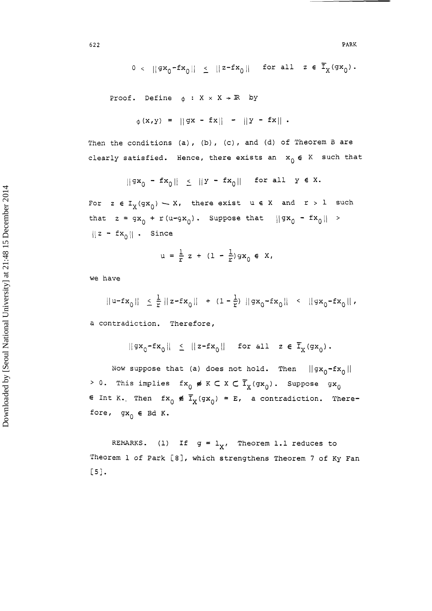$$
0 < ||gx_0 - fx_0|| \le ||z - fx_0|| \text{ for all } z \in \overline{I}_X(gx_0).
$$

Proof. Define  $\phi : X \times X \rightarrow \mathbb{R}$  by

$$
\phi(x,y) = ||gx - fx|| - ||y - fx||.
$$

Then the conditions (a), (b) , (c) , and (d) of Theorem **B** are clearly satisfied. Hence, there exists an  $x_0 \in K$  such that

$$
\|\mathsf{gx}_0 - \mathsf{fx}_0\| \leq \|Y - \mathsf{fx}_0\| \quad \text{for all} \quad Y \in X.
$$

For  $z \in I_X(gx_0) \sim X$ , there exist  $u \in X$  and  $r > 1$  such that  $z = gx_0 + r(u-gx_0)$ . Suppose that  $||gx_0 - fx_0|| >$  $||z - fx_0||$  . Since

$$
u = \frac{1}{r} z + (1 - \frac{1}{r}) g x_0 \in X,
$$

we have

$$
||u-fx_0|| \leq \frac{1}{r} ||z-fx_0|| + (1-\frac{1}{r}) ||gx_0-fx_0|| < ||gx_0-fx_0||,
$$

a contradiction. Therefore,

$$
||gx_0 - fx_0|| \le ||z - fx_0|| \text{ for all } z \in \overline{I}_x(gx_0).
$$

Now suppose that (a) does not hold. Then  $||gx_0-fx_0||$ > 0. This implies  $fx_0 \notin K \subset X \subset \overline{I}_X(gx_0)$ . Suppose  $gx_0$  $\epsilon$  Int K. Then  $fx_0 \notin \overline{I}_X(gx_0) = E$ , a contradiction. Therefore,  $gx_0 \in Bd K$ .

REMARKS. (1) If  $g = 1_X$ , Theorem 1.1 reduces to Theorem 1 of Park **[8],** which strengthens Theorem **7** of Ky Fan C51.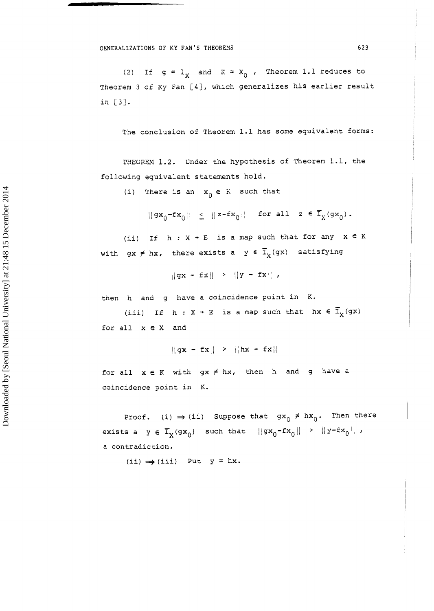(2) If  $g = 1$ <sub>y</sub> and  $K = X_0$ , Theorem 1.1 reduces to Theorem **3** of Ky Pan [4], which generalizes his earlier result in **[3].** 

The conclusion of Theorem 1.1 has some equivalent forms:

THEOREM 1.2. Under the hypothesis of Theorem 1.1, the following equivalent statements hold.

(i) There is an  $x_0 \in K$  such that

 $||\mathrm{gx}_0\text{-fx}_0|| ~\leq ~||z\text{-fx}_0|| ~\text{ for all} ~z~\in~ \overline{\mathrm{I}}_X(\mathrm{gx}_0) \,.$ 

(ii) If  $h : X \rightarrow E$  is a map such that for any  $x \in K$ with  $gx \neq hx$ , there exists a  $y \in \overline{I}_X(gx)$  satisfying

 $||gx - fx|| > ||y - fx||$ 

then h and g have a coincidence point in **K.** 

(iii) If  $h: X \rightarrow E$  is a map such that  $hx \in \overline{I}_X(gx)$ for all x e x and

 $||gx - fx|| > ||hx - fx||$ 

for all  $x \in K$  with  $gx \neq hx$ , then h and g have a coincidence point in K.

Proof. (i)  $\Rightarrow$  (ii) Suppose that  $gx_0 \neq hx_0$ . Then there exists a  $y \in \mathbb{T}_X(\mathfrak{g}\mathbf{x}_0)$  such that  $||\mathfrak{g}\mathbf{x}_0-\mathfrak{f}\mathbf{x}_0|| > ||y-\mathfrak{f}\mathbf{x}_0||$ , a contradiction.

 $(i) \implies (iii)$  Put  $y = hx$ .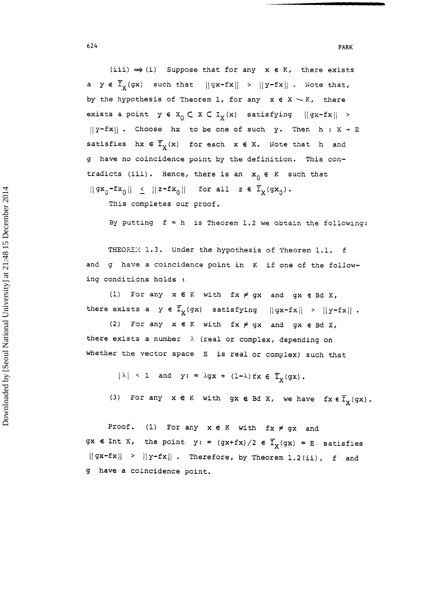*624* **PARK** 

 $(iii) \Rightarrow (i)$  Suppose that for any  $x \in K$ , there exists a  $y \in \overline{I}_X(gx)$  such that  $||gx-fx|| > ||y-fx||$ . Note that, by the hypothesis of Theorem 1, for any  $x \in X \setminus K$ , there exists a point  $y \in X_0 \subset X \subset I_X(x)$  satisfying  $||gx-fx|| >$  $||y-fx||$  . Choose hx to be one of such y. Then h :  $X \rightarrow E$ satisfies hx  $\in$   $\mathbb{F}_{\chi}(x)$  for each  $x \in X$ . Note that h and g have no coincidence point by the definition. This contradicts (iii). Hence, there is an  $x_0 \in K$  such that  $||gx_0-fx_0|| \le ||z-fx_0||$  for all  $z \in \overline{T}_X(gx_0)$ .

This completes our proof.

By putting  $f = h$  is Theorem 1.2 we obtain the following:

THEOREM 1.3. Under the hypothesis of Theorem 1.1, f and g have a coincidence point in **K** if one of the following conditicns holds :

(1) For any x **E** R with fx f gx and gx **E** Bd X, there exists a  $y \in \overline{I}_X(gx)$  satisfying  $||gx-fx|| > ||y-fx||$ .

(2) For any x **e** K with fx # gx and gx **E** Bd X, there exists a number  $\lambda$  (real or complex, depending on whether the vector space E is real or complex) such that

- $|\lambda|$  < 1 and y: =  $\lambda$ gx + (1- $\lambda$ ) fx  $\in$   $\overline{\mathbb{I}}_{\mathbf{y}}$  (gx).
- (3) For any  $x \in K$  with  $gx \in Bd X$ , we have  $fx \in \overline{I}_Y(gx)$ .

Proof. (1) For any x **E** K with fx # gx and gx **e** Int X, the point  $y: = (gx + fx)/2 \in \overline{I}_X(gx) = E$  satisfies  $||gx-fx|| > ||y-fx||$ . Therefore, by Theorem 1.2(ii), f and g have a coincidence point.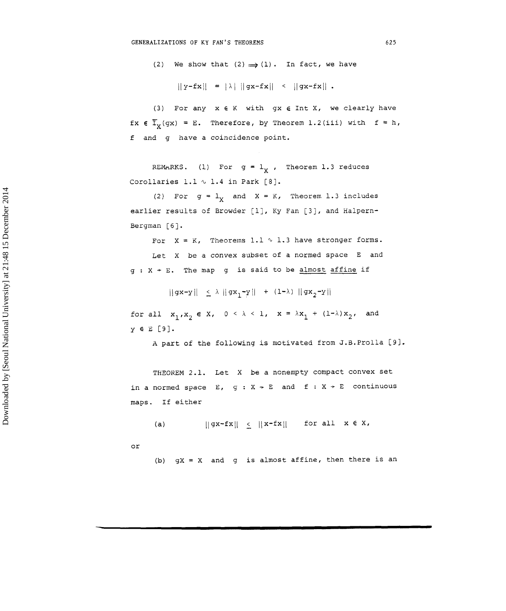(2) We show that  $(2) \implies (1)$ . In fact, we have

 $||y-fx|| = |\lambda| ||gx-fx|| < ||gx-fx||$ .

(3) For any x **E** K with gx *E* Int X, we clearly have fx  $\epsilon$   $\overline{I}_v(gx) = E$ . Therefore, by Theorem 1.2(iii) with  $f = h$ , **f** and g have a coincidence point.

REMARKS. (1) For  $g = 1<sub>x</sub>$ , Theorem 1.3 reduces Corollaries 1.1  $\sim$  1.4 in Park [8].

(2) For  $g = 1<sub>X</sub>$  and  $X = K$ , Theorem 1.3 includes earlier results of Browder [l], Ky Fan [3], and Halpern-Bergman [6].

For  $X = K$ , Theorems 1.1  $\sim$  1.3 have stronger forms. Let X be a convex subset of a normed space E and  $g: X + E$ . The map g is said to be almost affine if

 $||gx-y|| \le \lambda ||gx_1-y|| + (1-\lambda) ||gx_2-y||$ 

for all  $x_1, x_2 \in X$ ,  $0 \le \lambda \le 1$ ,  $x = \lambda x_1 + (1-\lambda)x_2$ , and y 6 E [9].

A part of the following is motivated from J.B.Prolla [9].

THEOREM 2.1. Let X be a nonempty compact convex set in a normed space E,  $g : X \rightarrow E$  and  $f : X \rightarrow E$  continuous maps. If either

 $||gx-fx|| \le ||x-fx||$  for all  $x \in X$ ,

or

 $(a)$ 

(b)  $gX = X$  and g is almost affine, then there is an

625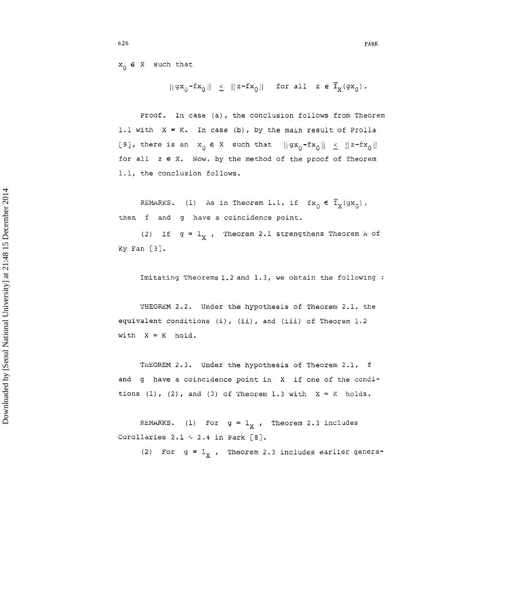$x_0 \in X$  such that

 $||gx_0-fx_0|| \le ||z-fx_0||$  for all  $z \in \overline{I}_X(gx_0)$ .

Proof. In case (a), the conclusion follows from Theorem 1.1 with  $X = K$ . In case (b), by the main result of Prolla [9], there is an  $x_0 \in X$  such that  $||gx_0-fx_0|| \le ||z-fx_0||$ for all z **6** X. Now, by the method of the proof of Theorem 1.1, the conclusion follows.

REMARKS. (1) As in Theorem 1.1, if  $f x_0 \in \overline{T}_X(gx_0)$ , then f and g have a coincidence point.

(2) If  $g = 1_X$ , Theorem 2.1 strengthens Theorem A of Ky Fan **[3].** 

Imitating Theorems 1.2 and 1.3, we obtain the following :

THEOREM 2.2. Under the hypothesis of Theorem 2.1, the equivalent conditions (i), (ii), and (iii) of Theorem 1.2 with  $X = K$  hold.

ThEOREM 2.3. Under the hypothesis of Theorem 2.1, f and g have a coincidence point in X if one of the conditions  $(1)$ ,  $(2)$ , and  $(3)$  of Theorem 1.3 with  $X = K$  holds.

REMARKS. (1) For  $g = 1<sub>x</sub>$ , Theorem 2.3 includes Corollaries 2.1  $\sim$  2.4 in Park [8].

(2) For  $g = 1<sub>x</sub>$ , Theorem 2.3 includes earlier genera-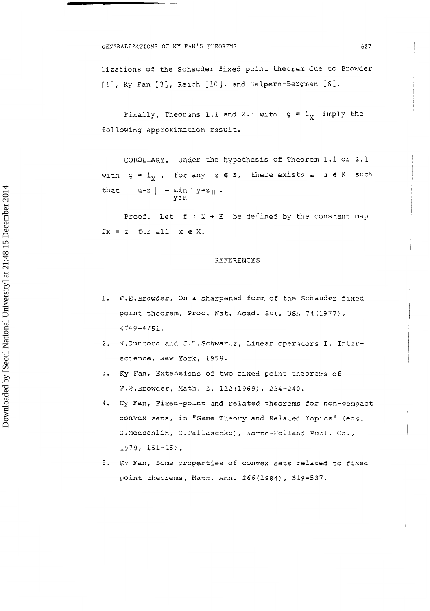#### **GENERALIZATIONS OF KY FAN'S THEOREMS** 627

lizations of the Schauder fixed point theorem due to Browder [1], Ky Fan [3], Reich [10], and Halpern-Bergman [6].

Finally, Theorems 1.1 and 2.1 with  $g = 1$ , imply the following approximation result.

COROLLARY. Under the hypothesis of Theorem 1.1 or 2.1 with  $g = l_X$ , for any  $z \in E$ , there exists a u  $\in K$  such  $||u-z|| = min ||y-z||$ . that y€K

Proof. Let  $f : X \rightarrow E$  be defined by the constant map fx = z for all x **E** X.

#### REFERENCES

- 1. F.E. Browder, On a sharpened form of the Schauder fixed point theorem, Proc. Nat. Acad. Sci. USA 74 (1977), 4749-4751.
- 2. N.Dunford and J.T.Schwartz, Linear operators I, Interscience, *Wew York*, 1958.
- 3. Ky Fan, Extensions of two fixed point theorems of P.E.Browaer, Math. **2.** 112 (l969), 234-240.
- 4. Ky Fan, Fixed-point and related theorems for non-compact convex sets, in "Game Theory and Related Topics" (eds. O.Moeschlin, D.Pallaschke), North-Holland Publ. Co., 1979, 151-156.
- 5. Ky Fan, Some properties of convex sets related to fixed point theorems, Math. Ann. 266(1984), 519-537.